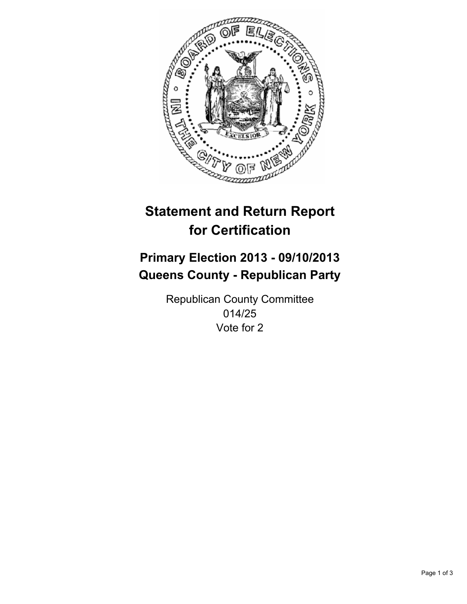

# **Statement and Return Report for Certification**

# **Primary Election 2013 - 09/10/2013 Queens County - Republican Party**

Republican County Committee 014/25 Vote for 2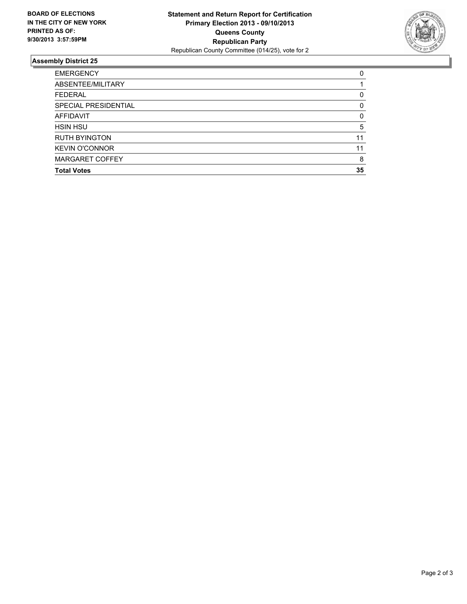

## **Assembly District 25**

| <b>EMERGENCY</b>       | 0        |
|------------------------|----------|
| ABSENTEE/MILITARY      |          |
| <b>FEDERAL</b>         | 0        |
| SPECIAL PRESIDENTIAL   | 0        |
| <b>AFFIDAVIT</b>       | $\Omega$ |
| <b>HSIN HSU</b>        | 5        |
| <b>RUTH BYINGTON</b>   | 11       |
| <b>KEVIN O'CONNOR</b>  | 11       |
| <b>MARGARET COFFEY</b> | 8        |
| <b>Total Votes</b>     | 35       |
|                        |          |